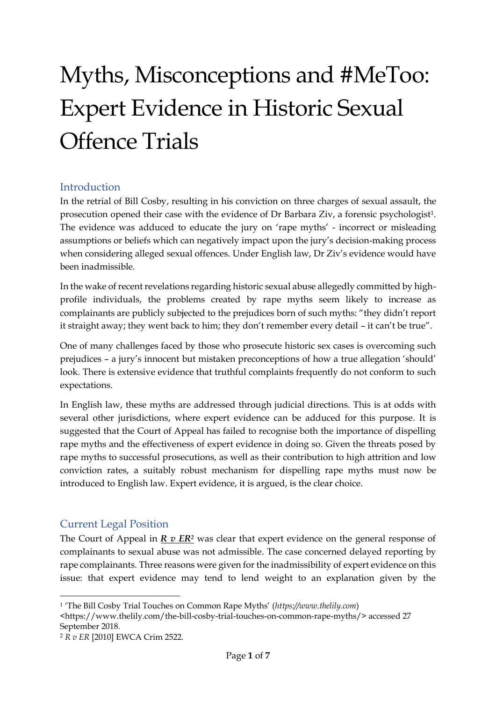# Myths, Misconceptions and #MeToo: Expert Evidence in Historic Sexual Offence Trials

# Introduction

In the retrial of Bill Cosby, resulting in his conviction on three charges of sexual assault, the prosecution opened their case with the evidence of Dr Barbara Ziv, a forensic psychologist1. The evidence was adduced to educate the jury on 'rape myths' - incorrect or misleading assumptions or beliefs which can negatively impact upon the jury's decision-making process when considering alleged sexual offences. Under English law, Dr Ziv's evidence would have been inadmissible.

In the wake of recent revelations regarding historic sexual abuse allegedly committed by highprofile individuals, the problems created by rape myths seem likely to increase as complainants are publicly subjected to the prejudices born of such myths: "they didn't report it straight away; they went back to him; they don't remember every detail – it can't be true".

One of many challenges faced by those who prosecute historic sex cases is overcoming such prejudices – a jury's innocent but mistaken preconceptions of how a true allegation 'should' look. There is extensive evidence that truthful complaints frequently do not conform to such expectations.

In English law, these myths are addressed through judicial directions. This is at odds with several other jurisdictions, where expert evidence can be adduced for this purpose. It is suggested that the Court of Appeal has failed to recognise both the importance of dispelling rape myths and the effectiveness of expert evidence in doing so. Given the threats posed by rape myths to successful prosecutions, as well as their contribution to high attrition and low conviction rates, a suitably robust mechanism for dispelling rape myths must now be introduced to English law. Expert evidence, it is argued, is the clear choice.

#### Current Legal Position

-

The Court of Appeal in *R v ER<sup>2</sup>* was clear that expert evidence on the general response of complainants to sexual abuse was not admissible. The case concerned delayed reporting by rape complainants. Three reasons were given for the inadmissibility of expert evidence on this issue: that expert evidence may tend to lend weight to an explanation given by the

<https://www.thelily.com/the-bill-cosby-trial-touches-on-common-rape-myths/> accessed 27 September 2018.

<sup>1</sup> 'The Bill Cosby Trial Touches on Common Rape Myths' (*https://www.thelily.com*)

<sup>2</sup> *R v ER* [2010] EWCA Crim 2522.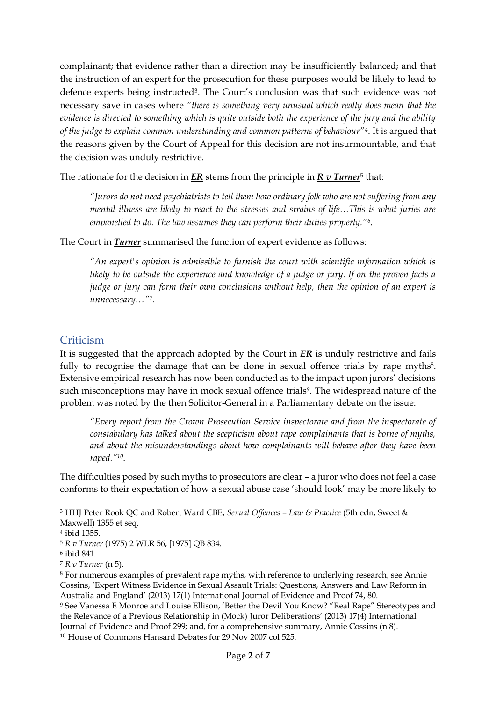complainant; that evidence rather than a direction may be insufficiently balanced; and that the instruction of an expert for the prosecution for these purposes would be likely to lead to defence experts being instructed<sup>3</sup>. The Court's conclusion was that such evidence was not necessary save in cases where *"there is something very unusual which really does mean that the evidence is directed to something which is quite outside both the experience of the jury and the ability of the judge to explain common understanding and common patterns of behaviour"4*. It is argued that the reasons given by the Court of Appeal for this decision are not insurmountable, and that the decision was unduly restrictive.

The rationale for the decision in *ER* stems from the principle in  $R \, v \, \textit{Turner}^5$  that:

*"Jurors do not need psychiatrists to tell them how ordinary folk who are not suffering from any mental illness are likely to react to the stresses and strains of life…This is what juries are empanelled to do. The law assumes they can perform their duties properly."6*.

The Court in *Turner* summarised the function of expert evidence as follows:

*"An expert's opinion is admissible to furnish the court with scientific information which is likely to be outside the experience and knowledge of a judge or jury. If on the proven facts a judge or jury can form their own conclusions without help, then the opinion of an expert is unnecessary…"7.*

#### **Criticism**

It is suggested that the approach adopted by the Court in *ER* is unduly restrictive and fails fully to recognise the damage that can be done in sexual offence trials by rape myths<sup>8</sup>. Extensive empirical research has now been conducted as to the impact upon jurors' decisions such misconceptions may have in mock sexual offence trials<sup>9</sup>. The widespread nature of the problem was noted by the then Solicitor-General in a Parliamentary debate on the issue:

*"Every report from the Crown Prosecution Service inspectorate and from the inspectorate of constabulary has talked about the scepticism about rape complainants that is borne of myths, and about the misunderstandings about how complainants will behave after they have been raped."10*.

The difficulties posed by such myths to prosecutors are clear – a juror who does not feel a case conforms to their expectation of how a sexual abuse case 'should look' may be more likely to

<u>.</u>

<sup>3</sup> HHJ Peter Rook QC and Robert Ward CBE, *Sexual Offences – Law & Practice* (5th edn, Sweet &

Maxwell) 1355 et seq.

<sup>4</sup> ibid 1355.

<sup>5</sup> *R v Turner* (1975) 2 WLR 56, [1975] QB 834.

<sup>6</sup> ibid 841.

<sup>7</sup> *R v Turner* (n 5).

<sup>8</sup> For numerous examples of prevalent rape myths, with reference to underlying research, see Annie Cossins, 'Expert Witness Evidence in Sexual Assault Trials: Questions, Answers and Law Reform in Australia and England' (2013) 17(1) International Journal of Evidence and Proof 74, 80.

<sup>9</sup> See Vanessa E Monroe and Louise Ellison, 'Better the Devil You Know? "Real Rape" Stereotypes and the Relevance of a Previous Relationship in (Mock) Juror Deliberations' (2013) 17(4) International Journal of Evidence and Proof 299; and, for a comprehensive summary, Annie Cossins (n 8). <sup>10</sup> House of Commons Hansard Debates for 29 Nov 2007 col 525.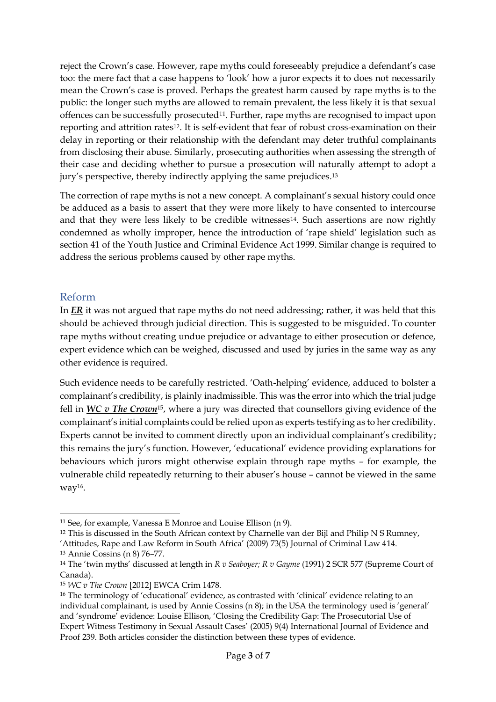reject the Crown's case. However, rape myths could foreseeably prejudice a defendant's case too: the mere fact that a case happens to 'look' how a juror expects it to does not necessarily mean the Crown's case is proved. Perhaps the greatest harm caused by rape myths is to the public: the longer such myths are allowed to remain prevalent, the less likely it is that sexual offences can be successfully prosecuted<sup>11</sup>. Further, rape myths are recognised to impact upon reporting and attrition rates<sup>12</sup>. It is self-evident that fear of robust cross-examination on their delay in reporting or their relationship with the defendant may deter truthful complainants from disclosing their abuse. Similarly, prosecuting authorities when assessing the strength of their case and deciding whether to pursue a prosecution will naturally attempt to adopt a jury's perspective, thereby indirectly applying the same prejudices. 13

The correction of rape myths is not a new concept. A complainant's sexual history could once be adduced as a basis to assert that they were more likely to have consented to intercourse and that they were less likely to be credible witnesses<sup>14</sup>. Such assertions are now rightly condemned as wholly improper, hence the introduction of 'rape shield' legislation such as section 41 of the Youth Justice and Criminal Evidence Act 1999. Similar change is required to address the serious problems caused by other rape myths.

### Reform

In *ER* it was not argued that rape myths do not need addressing; rather, it was held that this should be achieved through judicial direction. This is suggested to be misguided. To counter rape myths without creating undue prejudice or advantage to either prosecution or defence, expert evidence which can be weighed, discussed and used by juries in the same way as any other evidence is required.

Such evidence needs to be carefully restricted. 'Oath-helping' evidence, adduced to bolster a complainant's credibility, is plainly inadmissible. This was the error into which the trial judge fell in *WC v The Crown*15, where a jury was directed that counsellors giving evidence of the complainant's initial complaints could be relied upon as experts testifying as to her credibility. Experts cannot be invited to comment directly upon an individual complainant's credibility; this remains the jury's function. However, 'educational' evidence providing explanations for behaviours which jurors might otherwise explain through rape myths – for example, the vulnerable child repeatedly returning to their abuser's house – cannot be viewed in the same way16.

<sup>12</sup> This is discussed in the South African context by Charnelle van der Bijl and Philip N S Rumney, 'Attitudes, Rape and Law Reform in South Africa' (2009) 73(5) Journal of Criminal Law 414.

<sup>&</sup>lt;u>.</u> <sup>11</sup> See, for example, Vanessa E Monroe and Louise Ellison (n 9).

<sup>13</sup> Annie Cossins (n 8) 76–77.

<sup>14</sup> The 'twin myths' discussed at length in *R v Seaboyer; R v Gayme* (1991) 2 SCR 577 (Supreme Court of Canada).

<sup>15</sup> *WC v The Crown* [2012] EWCA Crim 1478.

<sup>&</sup>lt;sup>16</sup> The terminology of 'educational' evidence, as contrasted with 'clinical' evidence relating to an individual complainant, is used by Annie Cossins (n 8); in the USA the terminology used is 'general' and 'syndrome' evidence: Louise Ellison, 'Closing the Credibility Gap: The Prosecutorial Use of Expert Witness Testimony in Sexual Assault Cases' (2005) 9(4) International Journal of Evidence and Proof 239. Both articles consider the distinction between these types of evidence.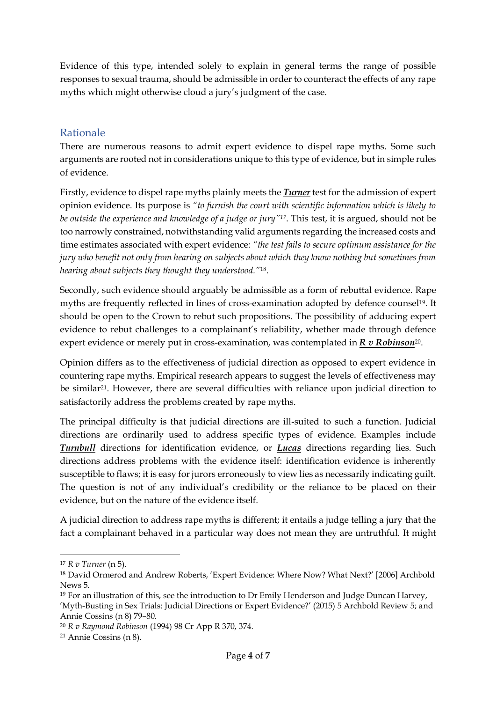Evidence of this type, intended solely to explain in general terms the range of possible responses to sexual trauma, should be admissible in order to counteract the effects of any rape myths which might otherwise cloud a jury's judgment of the case.

### Rationale

There are numerous reasons to admit expert evidence to dispel rape myths. Some such arguments are rooted not in considerations unique to this type of evidence, but in simple rules of evidence.

Firstly, evidence to dispel rape myths plainly meets the *Turner* test for the admission of expert opinion evidence. Its purpose is *"to furnish the court with scientific information which is likely to be outside the experience and knowledge of a judge or jury"17*. This test, it is argued, should not be too narrowly constrained, notwithstanding valid arguments regarding the increased costs and time estimates associated with expert evidence: *"the test fails to secure optimum assistance for the jury who benefit not only from hearing on subjects about which they know nothing but sometimes from hearing about subjects they thought they understood."*18.

Secondly, such evidence should arguably be admissible as a form of rebuttal evidence. Rape myths are frequently reflected in lines of cross-examination adopted by defence counsel<sup>19</sup>. It should be open to the Crown to rebut such propositions. The possibility of adducing expert evidence to rebut challenges to a complainant's reliability, whether made through defence expert evidence or merely put in cross-examination, was contemplated in *R v Robinson*20.

Opinion differs as to the effectiveness of judicial direction as opposed to expert evidence in countering rape myths. Empirical research appears to suggest the levels of effectiveness may be similar<sup>21</sup>. However, there are several difficulties with reliance upon judicial direction to satisfactorily address the problems created by rape myths.

The principal difficulty is that judicial directions are ill-suited to such a function. Judicial directions are ordinarily used to address specific types of evidence. Examples include *Turnbull* directions for identification evidence, or *Lucas* directions regarding lies. Such directions address problems with the evidence itself: identification evidence is inherently susceptible to flaws; it is easy for jurors erroneously to view lies as necessarily indicating guilt. The question is not of any individual's credibility or the reliance to be placed on their evidence, but on the nature of the evidence itself.

A judicial direction to address rape myths is different; it entails a judge telling a jury that the fact a complainant behaved in a particular way does not mean they are untruthful. It might

-

<sup>17</sup> *R v Turner* (n 5).

<sup>18</sup> David Ormerod and Andrew Roberts, 'Expert Evidence: Where Now? What Next?' [2006] Archbold News 5.

<sup>&</sup>lt;sup>19</sup> For an illustration of this, see the introduction to Dr Emily Henderson and Judge Duncan Harvey, 'Myth-Busting in Sex Trials: Judicial Directions or Expert Evidence?' (2015) 5 Archbold Review 5; and Annie Cossins (n 8) 79–80.

<sup>20</sup> *R v Raymond Robinson* (1994) 98 Cr App R 370, 374.

<sup>21</sup> Annie Cossins (n 8).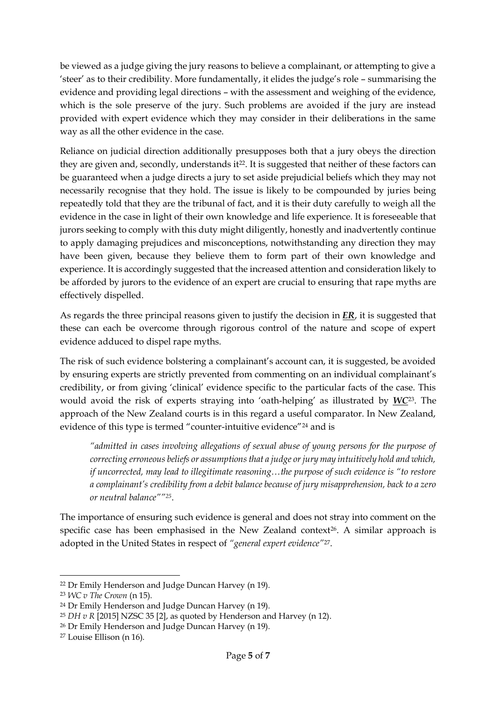be viewed as a judge giving the jury reasons to believe a complainant, or attempting to give a 'steer' as to their credibility. More fundamentally, it elides the judge's role – summarising the evidence and providing legal directions – with the assessment and weighing of the evidence, which is the sole preserve of the jury. Such problems are avoided if the jury are instead provided with expert evidence which they may consider in their deliberations in the same way as all the other evidence in the case.

Reliance on judicial direction additionally presupposes both that a jury obeys the direction they are given and, secondly, understands it<sup>22</sup>. It is suggested that neither of these factors can be guaranteed when a judge directs a jury to set aside prejudicial beliefs which they may not necessarily recognise that they hold. The issue is likely to be compounded by juries being repeatedly told that they are the tribunal of fact, and it is their duty carefully to weigh all the evidence in the case in light of their own knowledge and life experience. It is foreseeable that jurors seeking to comply with this duty might diligently, honestly and inadvertently continue to apply damaging prejudices and misconceptions, notwithstanding any direction they may have been given, because they believe them to form part of their own knowledge and experience. It is accordingly suggested that the increased attention and consideration likely to be afforded by jurors to the evidence of an expert are crucial to ensuring that rape myths are effectively dispelled.

As regards the three principal reasons given to justify the decision in *ER*, it is suggested that these can each be overcome through rigorous control of the nature and scope of expert evidence adduced to dispel rape myths.

The risk of such evidence bolstering a complainant's account can, it is suggested, be avoided by ensuring experts are strictly prevented from commenting on an individual complainant's credibility, or from giving 'clinical' evidence specific to the particular facts of the case. This would avoid the risk of experts straying into 'oath-helping' as illustrated by *WC*23. The approach of the New Zealand courts is in this regard a useful comparator. In New Zealand, evidence of this type is termed "counter-intuitive evidence"<sup>24</sup> and is

*"admitted in cases involving allegations of sexual abuse of young persons for the purpose of correcting erroneous beliefs or assumptions that a judge or jury may intuitively hold and which, if uncorrected, may lead to illegitimate reasoning…the purpose of such evidence is "to restore a complainant's credibility from a debit balance because of jury misapprehension, back to a zero or neutral balance""25*.

The importance of ensuring such evidence is general and does not stray into comment on the specific case has been emphasised in the New Zealand context<sup>26</sup>. A similar approach is adopted in the United States in respect of *"general expert evidence"*27.

<u>.</u>

<sup>22</sup> Dr Emily Henderson and Judge Duncan Harvey (n 19).

<sup>23</sup> *WC v The Crown* (n 15).

<sup>24</sup> Dr Emily Henderson and Judge Duncan Harvey (n 19).

<sup>25</sup> *DH v R* [2015] NZSC 35 [2], as quoted by Henderson and Harvey (n 12).

<sup>26</sup> Dr Emily Henderson and Judge Duncan Harvey (n 19).

<sup>27</sup> Louise Ellison (n 16).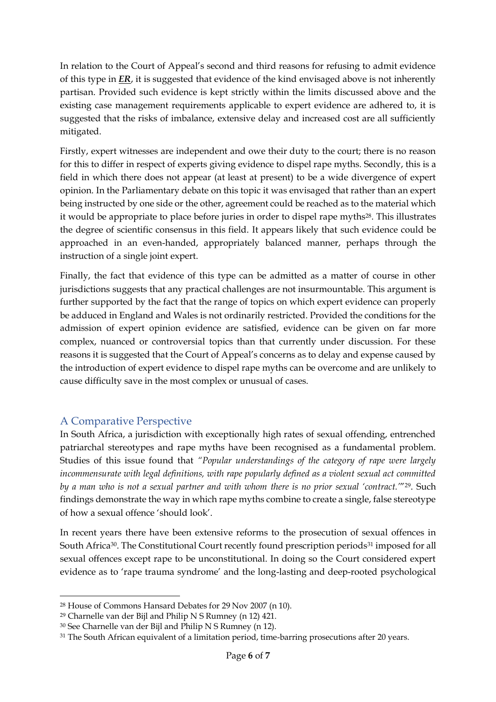In relation to the Court of Appeal's second and third reasons for refusing to admit evidence of this type in *ER*, it is suggested that evidence of the kind envisaged above is not inherently partisan. Provided such evidence is kept strictly within the limits discussed above and the existing case management requirements applicable to expert evidence are adhered to, it is suggested that the risks of imbalance, extensive delay and increased cost are all sufficiently mitigated.

Firstly, expert witnesses are independent and owe their duty to the court; there is no reason for this to differ in respect of experts giving evidence to dispel rape myths. Secondly, this is a field in which there does not appear (at least at present) to be a wide divergence of expert opinion. In the Parliamentary debate on this topic it was envisaged that rather than an expert being instructed by one side or the other, agreement could be reached as to the material which it would be appropriate to place before juries in order to dispel rape myths<sup>28</sup>. This illustrates the degree of scientific consensus in this field. It appears likely that such evidence could be approached in an even-handed, appropriately balanced manner, perhaps through the instruction of a single joint expert.

Finally, the fact that evidence of this type can be admitted as a matter of course in other jurisdictions suggests that any practical challenges are not insurmountable. This argument is further supported by the fact that the range of topics on which expert evidence can properly be adduced in England and Wales is not ordinarily restricted. Provided the conditions for the admission of expert opinion evidence are satisfied, evidence can be given on far more complex, nuanced or controversial topics than that currently under discussion. For these reasons it is suggested that the Court of Appeal's concerns as to delay and expense caused by the introduction of expert evidence to dispel rape myths can be overcome and are unlikely to cause difficulty save in the most complex or unusual of cases.

# A Comparative Perspective

-

In South Africa, a jurisdiction with exceptionally high rates of sexual offending, entrenched patriarchal stereotypes and rape myths have been recognised as a fundamental problem. Studies of this issue found that *"Popular understandings of the category of rape were largely incommensurate with legal definitions, with rape popularly defined as a violent sexual act committed by a man who is not a sexual partner and with whom there is no prior sexual 'contract.'*"29. Such findings demonstrate the way in which rape myths combine to create a single, false stereotype of how a sexual offence 'should look'.

In recent years there have been extensive reforms to the prosecution of sexual offences in South Africa<sup>30</sup>. The Constitutional Court recently found prescription periods<sup>31</sup> imposed for all sexual offences except rape to be unconstitutional. In doing so the Court considered expert evidence as to 'rape trauma syndrome' and the long-lasting and deep-rooted psychological

<sup>28</sup> House of Commons Hansard Debates for 29 Nov 2007 (n 10).

<sup>29</sup> Charnelle van der Bijl and Philip N S Rumney (n 12) 421.

<sup>30</sup> See Charnelle van der Bijl and Philip N S Rumney (n 12).

<sup>&</sup>lt;sup>31</sup> The South African equivalent of a limitation period, time-barring prosecutions after 20 years.